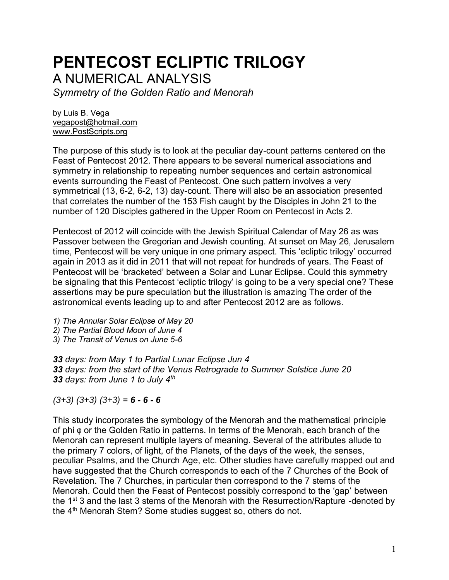# **PENTECOST ECLIPTIC TRILOGY**

A NUMERICAL ANALYSIS

*Symmetry of the Golden Ratio and Menorah*

by Luis B. Vega [vegapost@hotmail.com](mailto:vegapost@hotmail.com) [www.PostScripts.org](http://www.postscripts.org/)

The purpose of this study is to look at the peculiar day-count patterns centered on the Feast of Pentecost 2012. There appears to be several numerical associations and symmetry in relationship to repeating number sequences and certain astronomical events surrounding the Feast of Pentecost. One such pattern involves a very symmetrical (13, 6-2, 6-2, 13) day-count. There will also be an association presented that correlates the number of the 153 Fish caught by the Disciples in John 21 to the number of 120 Disciples gathered in the Upper Room on Pentecost in Acts 2.

Pentecost of 2012 will coincide with the Jewish Spiritual Calendar of May 26 as was Passover between the Gregorian and Jewish counting. At sunset on May 26, Jerusalem time, Pentecost will be very unique in one primary aspect. This 'ecliptic trilogy' occurred again in 2013 as it did in 2011 that will not repeat for hundreds of years. The Feast of Pentecost will be 'bracketed' between a Solar and Lunar Eclipse. Could this symmetry be signaling that this Pentecost 'ecliptic trilogy' is going to be a very special one? These assertions may be pure speculation but the illustration is amazing The order of the astronomical events leading up to and after Pentecost 2012 are as follows.

*1) The Annular Solar Eclipse of May 20* 

*2) The Partial Blood Moon of June 4* 

*3) The Transit of Venus on June 5-6*

*33 days: from May 1 to Partial Lunar Eclipse Jun 4 33 days: from the start of the Venus Retrograde to Summer Solstice June 20 33 days: from June 1 to July 4th*

*(3+3) (3+3) (3+3) = 6 - 6 - 6*

This study incorporates the symbology of the Menorah and the mathematical principle of phi φ or the Golden Ratio in patterns. In terms of the Menorah, each branch of the Menorah can represent multiple layers of meaning. Several of the attributes allude to the primary 7 colors, of light, of the Planets, of the days of the week, the senses, peculiar Psalms, and the Church Age, etc. Other studies have carefully mapped out and have suggested that the Church corresponds to each of the 7 Churches of the Book of Revelation. The 7 Churches, in particular then correspond to the 7 stems of the Menorah. Could then the Feast of Pentecost possibly correspond to the 'gap' between the 1<sup>st</sup> 3 and the last 3 stems of the Menorah with the Resurrection/Rapture -denoted by the 4<sup>th</sup> Menorah Stem? Some studies suggest so, others do not.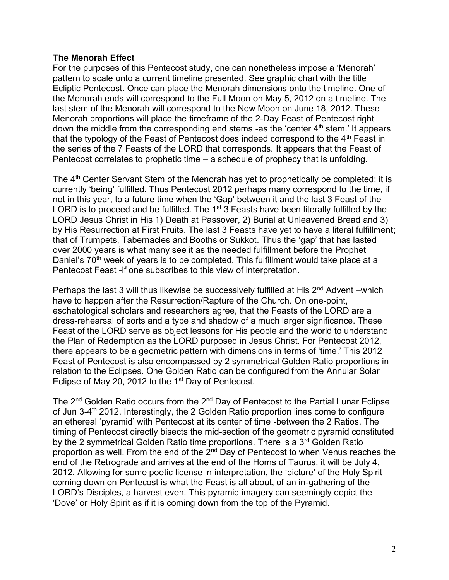## **The Menorah Effect**

For the purposes of this Pentecost study, one can nonetheless impose a 'Menorah' pattern to scale onto a current timeline presented. See graphic chart with the title Ecliptic Pentecost. Once can place the Menorah dimensions onto the timeline. One of the Menorah ends will correspond to the Full Moon on May 5, 2012 on a timeline. The last stem of the Menorah will correspond to the New Moon on June 18, 2012. These Menorah proportions will place the timeframe of the 2-Day Feast of Pentecost right down the middle from the corresponding end stems -as the 'center  $4<sup>th</sup>$  stem.' It appears that the typology of the Feast of Pentecost does indeed correspond to the  $4<sup>th</sup>$  Feast in the series of the 7 Feasts of the LORD that corresponds. It appears that the Feast of Pentecost correlates to prophetic time – a schedule of prophecy that is unfolding.

The 4<sup>th</sup> Center Servant Stem of the Menorah has yet to prophetically be completed; it is currently 'being' fulfilled. Thus Pentecost 2012 perhaps many correspond to the time, if not in this year, to a future time when the 'Gap' between it and the last 3 Feast of the LORD is to proceed and be fulfilled. The  $1<sup>st</sup>$  3 Feasts have been literally fulfilled by the LORD Jesus Christ in His 1) Death at Passover, 2) Burial at Unleavened Bread and 3) by His Resurrection at First Fruits. The last 3 Feasts have yet to have a literal fulfillment; that of Trumpets, Tabernacles and Booths or Sukkot. Thus the 'gap' that has lasted over 2000 years is what many see it as the needed fulfillment before the Prophet Daniel's 70<sup>th</sup> week of years is to be completed. This fulfillment would take place at a Pentecost Feast -if one subscribes to this view of interpretation.

Perhaps the last 3 will thus likewise be successively fulfilled at His 2<sup>nd</sup> Advent –which have to happen after the Resurrection/Rapture of the Church. On one-point, eschatological scholars and researchers agree, that the Feasts of the LORD are a dress-rehearsal of sorts and a type and shadow of a much larger significance. These Feast of the LORD serve as object lessons for His people and the world to understand the Plan of Redemption as the LORD purposed in Jesus Christ. For Pentecost 2012, there appears to be a geometric pattern with dimensions in terms of 'time.' This 2012 Feast of Pentecost is also encompassed by 2 symmetrical Golden Ratio proportions in relation to the Eclipses. One Golden Ratio can be configured from the Annular Solar Eclipse of May 20, 2012 to the 1st Day of Pentecost.

The 2<sup>nd</sup> Golden Ratio occurs from the 2<sup>nd</sup> Day of Pentecost to the Partial Lunar Eclipse of Jun 3-4<sup>th</sup> 2012. Interestingly, the 2 Golden Ratio proportion lines come to configure an ethereal 'pyramid' with Pentecost at its center of time -between the 2 Ratios. The timing of Pentecost directly bisects the mid-section of the geometric pyramid constituted by the 2 symmetrical Golden Ratio time proportions. There is a 3<sup>rd</sup> Golden Ratio proportion as well. From the end of the 2nd Day of Pentecost to when Venus reaches the end of the Retrograde and arrives at the end of the Horns of Taurus, it will be July 4, 2012. Allowing for some poetic license in interpretation, the 'picture' of the Holy Spirit coming down on Pentecost is what the Feast is all about, of an in-gathering of the LORD's Disciples, a harvest even. This pyramid imagery can seemingly depict the 'Dove' or Holy Spirit as if it is coming down from the top of the Pyramid.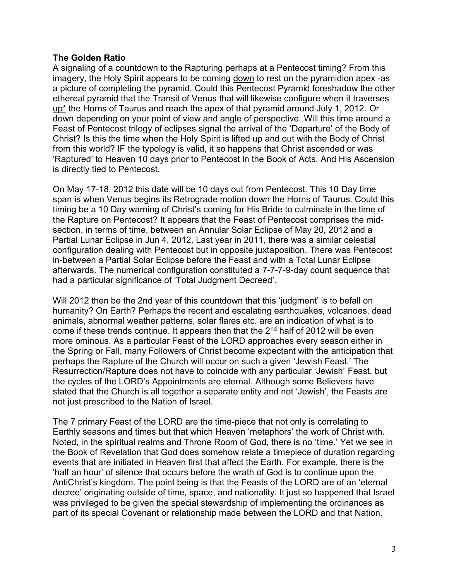## **The Golden Ratio**

A signaling of a countdown to the Rapturing perhaps at a Pentecost timing? From this imagery, the Holy Spirit appears to be coming down to rest on the pyramidion apex -as a picture of completing the pyramid. Could this Pentecost Pyramid foreshadow the other ethereal pyramid that the Transit of Venus that will likewise configure when it traverses  $up<sup>*</sup>$  the Horns of Taurus and reach the apex of that pyramid around July 1, 2012. Or</u> down depending on your point of view and angle of perspective. Will this time around a Feast of Pentecost trilogy of eclipses signal the arrival of the 'Departure' of the Body of Christ? Is this the time when the Holy Spirit is lifted up and out with the Body of Christ from this world? IF the typology is valid, it so happens that Christ ascended or was 'Raptured' to Heaven 10 days prior to Pentecost in the Book of Acts. And His Ascension is directly tied to Pentecost.

On May 17-18, 2012 this date will be 10 days out from Pentecost. This 10 Day time span is when Venus begins its Retrograde motion down the Horns of Taurus. Could this timing be a 10 Day warning of Christ's coming for His Bride to culminate in the time of the Rapture on Pentecost? It appears that the Feast of Pentecost comprises the midsection, in terms of time, between an Annular Solar Eclipse of May 20, 2012 and a Partial Lunar Eclipse in Jun 4, 2012. Last year in 2011, there was a similar celestial configuration dealing with Pentecost but in opposite juxtaposition. There was Pentecost in-between a Partial Solar Eclipse before the Feast and with a Total Lunar Eclipse afterwards. The numerical configuration constituted a 7-7-7-9-day count sequence that had a particular significance of 'Total Judgment Decreed'.

Will 2012 then be the 2nd year of this countdown that this 'judgment' is to befall on humanity? On Earth? Perhaps the recent and escalating earthquakes, volcanoes, dead animals, abnormal weather patterns, solar flares etc. are an indication of what is to come if these trends continue. It appears then that the 2<sup>nd</sup> half of 2012 will be even more ominous. As a particular Feast of the LORD approaches every season either in the Spring or Fall, many Followers of Christ become expectant with the anticipation that perhaps the Rapture of the Church will occur on such a given 'Jewish Feast.' The Resurrection/Rapture does not have to coincide with any particular 'Jewish' Feast, but the cycles of the LORD's Appointments are eternal. Although some Believers have stated that the Church is all together a separate entity and not 'Jewish', the Feasts are not just prescribed to the Nation of Israel.

The 7 primary Feast of the LORD are the time-piece that not only is correlating to Earthly seasons and times but that which Heaven 'metaphors' the work of Christ with. Noted, in the spiritual realms and Throne Room of God, there is no 'time.' Yet we see in the Book of Revelation that God does somehow relate a timepiece of duration regarding events that are initiated in Heaven first that affect the Earth. For example, there is the 'half an hour' of silence that occurs before the wrath of God is to continue upon the AntiChrist's kingdom. The point being is that the Feasts of the LORD are of an 'eternal decree' originating outside of time, space, and nationality. It just so happened that Israel was privileged to be given the special stewardship of implementing the ordinances as part of its special Covenant or relationship made between the LORD and that Nation.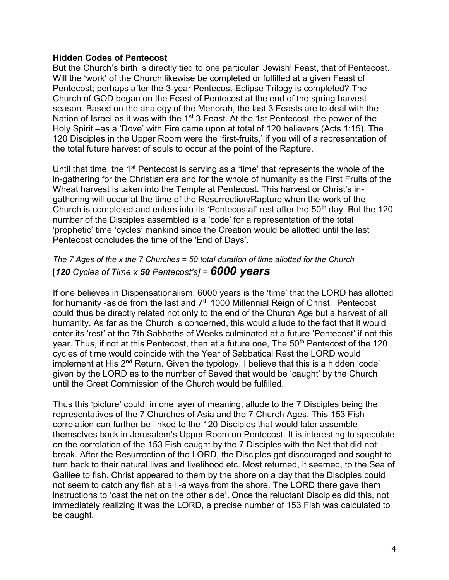## **Hidden Codes of Pentecost**

But the Church's birth is directly tied to one particular 'Jewish' Feast, that of Pentecost. Will the 'work' of the Church likewise be completed or fulfilled at a given Feast of Pentecost; perhaps after the 3-year Pentecost-Eclipse Trilogy is completed? The Church of GOD began on the Feast of Pentecost at the end of the spring harvest season. Based on the analogy of the Menorah, the last 3 Feasts are to deal with the Nation of Israel as it was with the 1<sup>st</sup> 3 Feast. At the 1st Pentecost, the power of the Holy Spirit –as a 'Dove' with Fire came upon at total of 120 believers (Acts 1:15). The 120 Disciples in the Upper Room were the 'first-fruits,' if you will of a representation of the total future harvest of souls to occur at the point of the Rapture.

Until that time, the 1<sup>st</sup> Pentecost is serving as a 'time' that represents the whole of the in-gathering for the Christian era and for the whole of humanity as the First Fruits of the Wheat harvest is taken into the Temple at Pentecost. This harvest or Christ's ingathering will occur at the time of the Resurrection/Rapture when the work of the Church is completed and enters into its 'Pentecostal' rest after the  $50<sup>th</sup>$  day. But the 120 number of the Disciples assembled is a 'code' for a representation of the total 'prophetic' time 'cycles' mankind since the Creation would be allotted until the last Pentecost concludes the time of the 'End of Days'.

## *The 7 Ages of the x the 7 Churches = 50 total duration of time allotted for the Church* [*120 Cycles of Time x 50 Pentecost's] = 6000 years*

If one believes in Dispensationalism, 6000 years is the 'time' that the LORD has allotted for humanity -aside from the last and  $7<sup>th</sup>$  1000 Millennial Reign of Christ. Pentecost could thus be directly related not only to the end of the Church Age but a harvest of all humanity. As far as the Church is concerned, this would allude to the fact that it would enter its 'rest' at the 7th Sabbaths of Weeks culminated at a future 'Pentecost' if not this year. Thus, if not at this Pentecost, then at a future one, The 50<sup>th</sup> Pentecost of the 120 cycles of time would coincide with the Year of Sabbatical Rest the LORD would implement at His  $2<sup>nd</sup>$  Return. Given the typology, I believe that this is a hidden 'code' given by the LORD as to the number of Saved that would be 'caught' by the Church until the Great Commission of the Church would be fulfilled.

Thus this 'picture' could, in one layer of meaning, allude to the 7 Disciples being the representatives of the 7 Churches of Asia and the 7 Church Ages. This 153 Fish correlation can further be linked to the 120 Disciples that would later assemble themselves back in Jerusalem's Upper Room on Pentecost. It is interesting to speculate on the correlation of the 153 Fish caught by the 7 Disciples with the Net that did not break. After the Resurrection of the LORD, the Disciples got discouraged and sought to turn back to their natural lives and livelihood etc. Most returned, it seemed, to the Sea of Galilee to fish. Christ appeared to them by the shore on a day that the Disciples could not seem to catch any fish at all -a ways from the shore. The LORD there gave them instructions to 'cast the net on the other side'. Once the reluctant Disciples did this, not immediately realizing it was the LORD, a precise number of 153 Fish was calculated to be caught.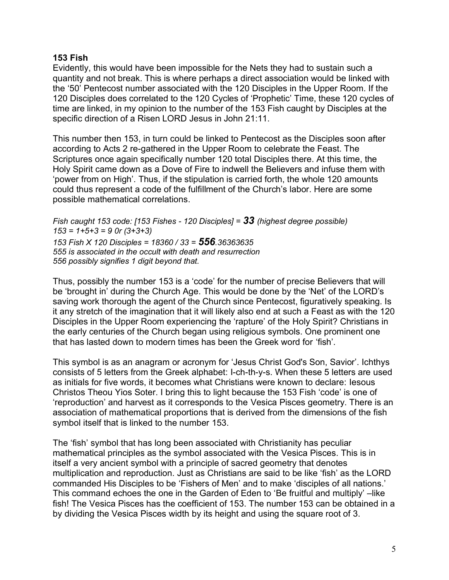## **153 Fish**

Evidently, this would have been impossible for the Nets they had to sustain such a quantity and not break. This is where perhaps a direct association would be linked with the '50' Pentecost number associated with the 120 Disciples in the Upper Room. If the 120 Disciples does correlated to the 120 Cycles of 'Prophetic' Time, these 120 cycles of time are linked, in my opinion to the number of the 153 Fish caught by Disciples at the specific direction of a Risen LORD Jesus in John 21:11.

This number then 153, in turn could be linked to Pentecost as the Disciples soon after according to Acts 2 re-gathered in the Upper Room to celebrate the Feast. The Scriptures once again specifically number 120 total Disciples there. At this time, the Holy Spirit came down as a Dove of Fire to indwell the Believers and infuse them with 'power from on High'. Thus, if the stipulation is carried forth, the whole 120 amounts could thus represent a code of the fulfillment of the Church's labor. Here are some possible mathematical correlations.

*Fish caught 153 code: [153 Fishes - 120 Disciples] = 33 (highest degree possible) 153 = 1+5+3 = 9 0r (3+3+3) 153 Fish X 120 Disciples = 18360 / 33 = 556.36363635 555 is associated in the occult with death and resurrection 556 possibly signifies 1 digit beyond that.*

Thus, possibly the number 153 is a 'code' for the number of precise Believers that will be 'brought in' during the Church Age. This would be done by the 'Net' of the LORD's saving work thorough the agent of the Church since Pentecost, figuratively speaking. Is it any stretch of the imagination that it will likely also end at such a Feast as with the 120 Disciples in the Upper Room experiencing the 'rapture' of the Holy Spirit? Christians in the early centuries of the Church began using religious symbols. One prominent one that has lasted down to modern times has been the Greek word for 'fish'.

This symbol is as an anagram or acronym for 'Jesus Christ God's Son, Savior'. Ichthys consists of 5 letters from the Greek alphabet: I-ch-th-y-s. When these 5 letters are used as initials for five words, it becomes what Christians were known to declare: Iesous Christos Theou Yios Soter. I bring this to light because the 153 Fish 'code' is one of 'reproduction' and harvest as it corresponds to the Vesica Pisces geometry. There is an association of mathematical proportions that is derived from the dimensions of the fish symbol itself that is linked to the number 153.

The 'fish' symbol that has long been associated with Christianity has peculiar mathematical principles as the symbol associated with the Vesica Pisces. This is in itself a very ancient symbol with a principle of sacred geometry that denotes multiplication and reproduction. Just as Christians are said to be like 'fish' as the LORD commanded His Disciples to be 'Fishers of Men' and to make 'disciples of all nations.' This command echoes the one in the Garden of Eden to 'Be fruitful and multiply' –like fish! The Vesica Pisces has the coefficient of 153. The number 153 can be obtained in a by dividing the Vesica Pisces width by its height and using the square root of 3.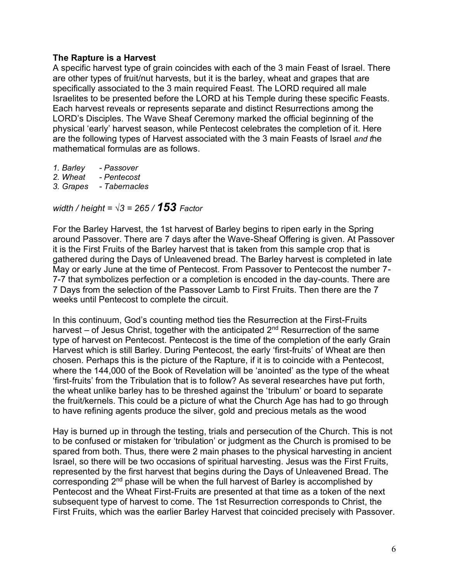## **The Rapture is a Harvest**

A specific harvest type of grain coincides with each of the 3 main Feast of Israel. There are other types of fruit/nut harvests, but it is the barley, wheat and grapes that are specifically associated to the 3 main required Feast. The LORD required all male Israelites to be presented before the LORD at his Temple during these specific Feasts. Each harvest reveals or represents separate and distinct Resurrections among the LORD's Disciples. The Wave Sheaf Ceremony marked the official beginning of the physical 'early' harvest season, while Pentecost celebrates the completion of it. Here are the following types of Harvest associated with the 3 main Feasts of Israel *and t*he mathematical formulas are as follows.

- *1. Barley - Passover*
- *2. Wheat - Pentecost*
- *3. Grapes - Tabernacles*

*width / height = √3 = 265 / 153 Factor*

For the Barley Harvest, the 1st harvest of Barley begins to ripen early in the Spring around Passover. There are 7 days after the Wave-Sheaf Offering is given. At Passover it is the First Fruits of the Barley harvest that is taken from this sample crop that is gathered during the Days of Unleavened bread. The Barley harvest is completed in late May or early June at the time of Pentecost. From Passover to Pentecost the number 7- 7-7 that symbolizes perfection or a completion is encoded in the day-counts. There are 7 Days from the selection of the Passover Lamb to First Fruits. Then there are the 7 weeks until Pentecost to complete the circuit.

In this continuum, God's counting method ties the Resurrection at the First-Fruits harvest – of Jesus Christ, together with the anticipated  $2<sup>nd</sup>$  Resurrection of the same type of harvest on Pentecost. Pentecost is the time of the completion of the early Grain Harvest which is still Barley. During Pentecost, the early 'first-fruits' of Wheat are then chosen. Perhaps this is the picture of the Rapture, if it is to coincide with a Pentecost, where the 144,000 of the Book of Revelation will be 'anointed' as the type of the wheat 'first-fruits' from the Tribulation that is to follow? As several researches have put forth, the wheat unlike barley has to be threshed against the 'tribulum' or board to separate the fruit/kernels. This could be a picture of what the Church Age has had to go through to have refining agents produce the silver, gold and precious metals as the wood

Hay is burned up in through the testing, trials and persecution of the Church. This is not to be confused or mistaken for 'tribulation' or judgment as the Church is promised to be spared from both. Thus, there were 2 main phases to the physical harvesting in ancient Israel, so there will be two occasions of spiritual harvesting. Jesus was the First Fruits, represented by the first harvest that begins during the Days of Unleavened Bread. The corresponding 2<sup>nd</sup> phase will be when the full harvest of Barley is accomplished by Pentecost and the Wheat First-Fruits are presented at that time as a token of the next subsequent type of harvest to come. The 1st Resurrection corresponds to Christ, the First Fruits, which was the earlier Barley Harvest that coincided precisely with Passover.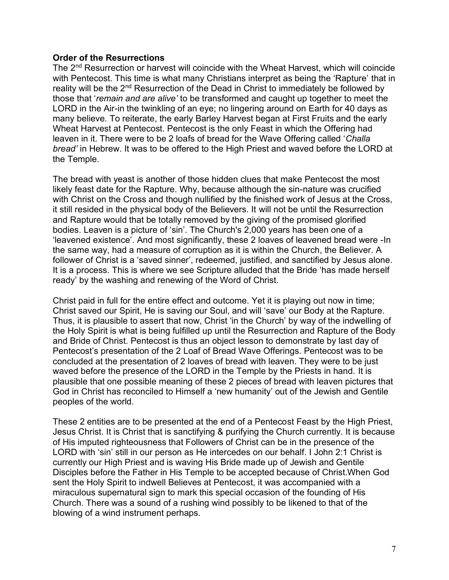## **Order of the Resurrections**

The 2<sup>nd</sup> Resurrection or harvest will coincide with the Wheat Harvest, which will coincide with Pentecost. This time is what many Christians interpret as being the 'Rapture' that in reality will be the 2<sup>nd</sup> Resurrection of the Dead in Christ to immediately be followed by those that '*remain and are alive'* to be transformed and caught up together to meet the LORD in the Air-in the twinkling of an eye; no lingering around on Earth for 40 days as many believe. To reiterate, the early Barley Harvest began at First Fruits and the early Wheat Harvest at Pentecost. Pentecost is the only Feast in which the Offering had leaven in it. There were to be 2 loafs of bread for the Wave Offering called '*Challa bread'* in Hebrew. It was to be offered to the High Priest and waved before the LORD at the Temple.

The bread with yeast is another of those hidden clues that make Pentecost the most likely feast date for the Rapture. Why, because although the sin-nature was crucified with Christ on the Cross and though nullified by the finished work of Jesus at the Cross, it still resided in the physical body of the Believers. It will not be until the Resurrection and Rapture would that be totally removed by the giving of the promised glorified bodies. Leaven is a picture of 'sin'. The Church's 2,000 years has been one of a 'leavened existence'. And most significantly, these 2 loaves of leavened bread were -In the same way, had a measure of corruption as it is within the Church, the Believer. A follower of Christ is a 'saved sinner', redeemed, justified, and sanctified by Jesus alone. It is a process. This is where we see Scripture alluded that the Bride 'has made herself ready' by the washing and renewing of the Word of Christ.

Christ paid in full for the entire effect and outcome. Yet it is playing out now in time; Christ saved our Spirit, He is saving our Soul, and will 'save' our Body at the Rapture. Thus, it is plausible to assert that now, Christ 'in the Church' by way of the indwelling of the Holy Spirit is what is being fulfilled up until the Resurrection and Rapture of the Body and Bride of Christ. Pentecost is thus an object lesson to demonstrate by last day of Pentecost's presentation of the 2 Loaf of Bread Wave Offerings. Pentecost was to be concluded at the presentation of 2 loaves of bread with leaven. They were to be just waved before the presence of the LORD in the Temple by the Priests in hand. It is plausible that one possible meaning of these 2 pieces of bread with leaven pictures that God in Christ has reconciled to Himself a 'new humanity' out of the Jewish and Gentile peoples of the world.

These 2 entities are to be presented at the end of a Pentecost Feast by the High Priest, Jesus Christ. It is Christ that is sanctifying & purifying the Church currently. It is because of His imputed righteousness that Followers of Christ can be in the presence of the LORD with 'sin' still in our person as He intercedes on our behalf. I John 2:1 Christ is currently our High Priest and is waving His Bride made up of Jewish and Gentile Disciples before the Father in His Temple to be accepted because of Christ.When God sent the Holy Spirit to indwell Believes at Pentecost, it was accompanied with a miraculous supernatural sign to mark this special occasion of the founding of His Church. There was a sound of a rushing wind possibly to be likened to that of the blowing of a wind instrument perhaps.